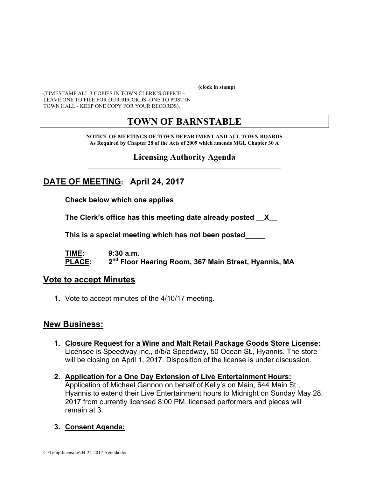**(clock in stamp)** 

(TIMESTAMP ALL 3 COPIES IN TOWN CLERK'S OFFICE – LEAVE ONE TO FILE FOR OUR RECORDS -ONE TO POST IN TOWN HALL - KEEP ONE COPY FOR YOUR RECORDS).

# **TOWN OF BARNSTABLE**

**NOTICE OF MEETINGS OF TOWN DEPARTMENT AND ALL TOWN BOARDS As Required by Chapter 28 of the Acts of 2009 which amends MGL Chapter 30 A** 

#### **Licensing Authority Agenda**  $\mathcal{L}_\text{max}$  and the contract of the contract of the contract of the contract of the contract of the contract of the contract of the contract of the contract of the contract of the contract of the contract of the contrac

### **DATE OF MEETING: April 24, 2017**

**Check below which one applies** 

**The Clerk's office has this meeting date already posted \_\_X\_\_** 

 **This is a special meeting which has not been posted\_\_\_\_\_** 

**TIME: 9:30 a.m. PLACE: 2nd Floor Hearing Room, 367 Main Street, Hyannis, MA**

#### **Vote to accept Minutes**

**1.** Vote to accept minutes of the 4/10/17 meeting.

#### **New Business:**

- **1. Closure Request for a Wine and Malt Retail Package Goods Store License:** Licensee is Speedway Inc., d/b/a Speedway, 50 Ocean St., Hyannis. The store will be closing on April 1, 2017. Disposition of the license is under discussion.
- **2. Application for a One Day Extension of Live Entertainment Hours:**  Application of Michael Gannon on behalf of Kelly's on Main, 644 Main St., Hyannis to extend their Live Entertainment hours to Midnight on Sunday May 28, 2017 from currently licensed 8:00 PM. licensed performers and pieces will remain at 3.

#### **3. Consent Agenda:**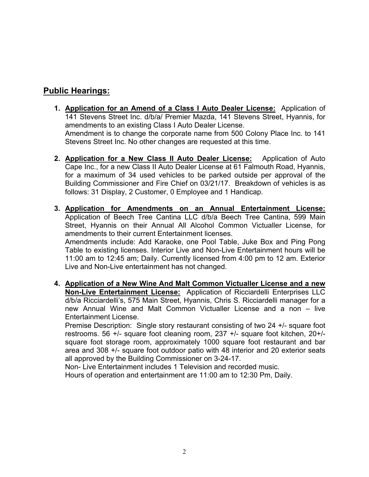### **Public Hearings:**

- **1. Application for an Amend of a Class I Auto Dealer License:** Application of 141 Stevens Street Inc. d/b/a/ Premier Mazda, 141 Stevens Street, Hyannis, for amendments to an existing Class I Auto Dealer License. Amendment is to change the corporate name from 500 Colony Place Inc. to 141 Stevens Street Inc. No other changes are requested at this time.
- **2. Application for a New Class II Auto Dealer License:** Application of Auto Cape Inc., for a new Class II Auto Dealer License at 61 Falmouth Road, Hyannis, for a maximum of 34 used vehicles to be parked outside per approval of the Building Commissioner and Fire Chief on 03/21/17. Breakdown of vehicles is as follows: 31 Display, 2 Customer, 0 Employee and 1 Handicap.
- **3. Application for Amendments on an Annual Entertainment License:** Application of Beech Tree Cantina LLC d/b/a Beech Tree Cantina, 599 Main Street, Hyannis on their Annual All Alcohol Common Victualler License, for amendments to their current Entertainment licenses. Amendments include: Add Karaoke, one Pool Table, Juke Box and Ping Pong

Table to existing licenses. Interior Live and Non-Live Entertainment hours will be 11:00 am to 12:45 am; Daily. Currently licensed from 4:00 pm to 12 am. Exterior Live and Non-Live entertainment has not changed.

**4. Application of a New Wine And Malt Common Victualler License and a new Non-Live Entertainment License:** Application of Ricciardelli Enterprises LLC d/b/a Ricciardelli's, 575 Main Street, Hyannis, Chris S. Ricciardelli manager for a new Annual Wine and Malt Common Victualler License and a non – live Entertainment License.

Premise Description: Single story restaurant consisting of two 24 +/- square foot restrooms. 56 +/- square foot cleaning room, 237 +/- square foot kitchen, 20+/ square foot storage room, approximately 1000 square foot restaurant and bar area and 308 +/- square foot outdoor patio with 48 interior and 20 exterior seats all approved by the Building Commissioner on 3-24-17.

Non- Live Entertainment includes 1 Television and recorded music. Hours of operation and entertainment are 11:00 am to 12:30 Pm, Daily.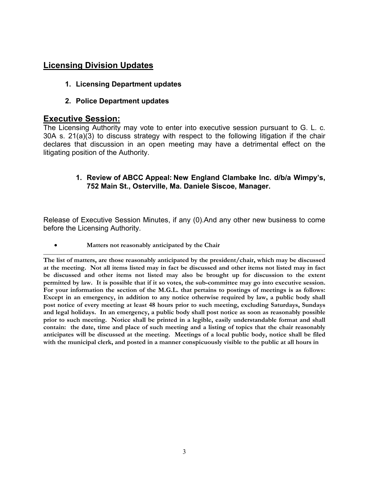### **Licensing Division Updates**

- **1. Licensing Department updates**
- **2. Police Department updates**

#### **Executive Session:**

The Licensing Authority may vote to enter into executive session pursuant to G. L. c. 30A s. 21(a)(3) to discuss strategy with respect to the following litigation if the chair declares that discussion in an open meeting may have a detrimental effect on the litigating position of the Authority.

#### **1. Review of ABCC Appeal: New England Clambake Inc. d/b/a Wimpy's, 752 Main St., Osterville, Ma. Daniele Siscoe, Manager.**

Release of Executive Session Minutes, if any (0).And any other new business to come before the Licensing Authority.

**Matters not reasonably anticipated by the Chair**

**The list of matters, are those reasonably anticipated by the president/chair, which may be discussed at the meeting. Not all items listed may in fact be discussed and other items not listed may in fact be discussed and other items not listed may also be brought up for discussion to the extent permitted by law. It is possible that if it so votes, the sub-committee may go into executive session. For your information the section of the M.G.L. that pertains to postings of meetings is as follows: Except in an emergency, in addition to any notice otherwise required by law, a public body shall post notice of every meeting at least 48 hours prior to such meeting, excluding Saturdays, Sundays and legal holidays. In an emergency, a public body shall post notice as soon as reasonably possible prior to such meeting. Notice shall be printed in a legible, easily understandable format and shall contain: the date, time and place of such meeting and a listing of topics that the chair reasonably anticipates will be discussed at the meeting. Meetings of a local public body, notice shall be filed with the municipal clerk, and posted in a manner conspicuously visible to the public at all hours in**